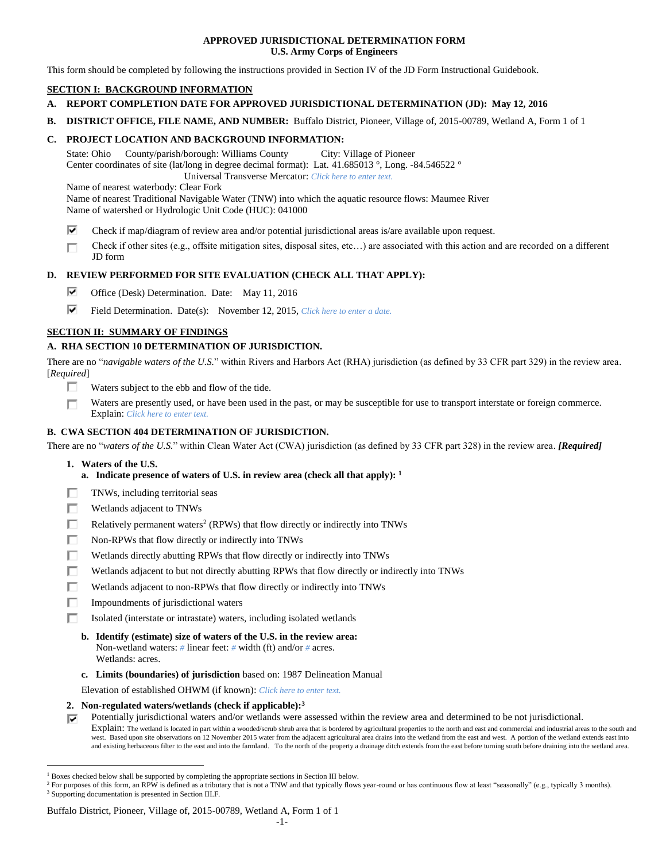## **APPROVED JURISDICTIONAL DETERMINATION FORM U.S. Army Corps of Engineers**

This form should be completed by following the instructions provided in Section IV of the JD Form Instructional Guidebook.

# **SECTION I: BACKGROUND INFORMATION**

- **A. REPORT COMPLETION DATE FOR APPROVED JURISDICTIONAL DETERMINATION (JD): May 12, 2016**
- **B. DISTRICT OFFICE, FILE NAME, AND NUMBER:** Buffalo District, Pioneer, Village of, 2015-00789, Wetland A, Form 1 of 1

# **C. PROJECT LOCATION AND BACKGROUND INFORMATION:**

State: Ohio County/parish/borough: Williams County City: Village of Pioneer Center coordinates of site (lat/long in degree decimal format): Lat. 41.685013 °, Long. -84.546522 ° Universal Transverse Mercator: *Click here to enter text.*

Name of nearest waterbody: Clear Fork

Name of nearest Traditional Navigable Water (TNW) into which the aquatic resource flows: Maumee River Name of watershed or Hydrologic Unit Code (HUC): 041000

- ⊽ Check if map/diagram of review area and/or potential jurisdictional areas is/are available upon request.
- Check if other sites (e.g., offsite mitigation sites, disposal sites, etc…) are associated with this action and are recorded on a different п JD form

# **D. REVIEW PERFORMED FOR SITE EVALUATION (CHECK ALL THAT APPLY):**

- ⊽. Office (Desk) Determination. Date: May 11, 2016
- ⊽. Field Determination. Date(s): November 12, 2015, *Click here to enter a date.*

# **SECTION II: SUMMARY OF FINDINGS**

# **A. RHA SECTION 10 DETERMINATION OF JURISDICTION.**

There are no "*navigable waters of the U.S.*" within Rivers and Harbors Act (RHA) jurisdiction (as defined by 33 CFR part 329) in the review area. [*Required*]

- п. Waters subject to the ebb and flow of the tide.
- Waters are presently used, or have been used in the past, or may be susceptible for use to transport interstate or foreign commerce. П Explain: *Click here to enter text.*

# **B. CWA SECTION 404 DETERMINATION OF JURISDICTION.**

There are no "*waters of the U.S.*" within Clean Water Act (CWA) jurisdiction (as defined by 33 CFR part 328) in the review area. *[Required]*

**1. Waters of the U.S.**

 $\overline{a}$ 

- **a. Indicate presence of waters of U.S. in review area (check all that apply): 1**
- п TNWs, including territorial seas
- П Wetlands adjacent to TNWs
- п Relatively permanent waters<sup>2</sup> (RPWs) that flow directly or indirectly into TNWs
- г Non-RPWs that flow directly or indirectly into TNWs
- П Wetlands directly abutting RPWs that flow directly or indirectly into TNWs
- п Wetlands adjacent to but not directly abutting RPWs that flow directly or indirectly into TNWs
- Wetlands adjacent to non-RPWs that flow directly or indirectly into TNWs п
- п Impoundments of jurisdictional waters
- П. Isolated (interstate or intrastate) waters, including isolated wetlands
	- **b. Identify (estimate) size of waters of the U.S. in the review area:** Non-wetland waters: *#* linear feet: *#* width (ft) and/or *#* acres. Wetlands: acres.
	- **c. Limits (boundaries) of jurisdiction** based on: 1987 Delineation Manual

Elevation of established OHWM (if known): *Click here to enter text.*

## **2. Non-regulated waters/wetlands (check if applicable): 3**

Potentially jurisdictional waters and/or wetlands were assessed within the review area and determined to be not jurisdictional.

Explain: The wetland is located in part within a wooded/scrub shrub area that is bordered by agricultural properties to the north and east and commercial and industrial areas to the south and west. Based upon site observations on 12 November 2015 water from the adjacent agricultural area drains into the wetland from the east and west. A portion of the wetland extends east into and existing herbaceous filter to the east and into the farmland. To the north of the property a drainage ditch extends from the east before turning south before draining into the wetland area.

### Buffalo District, Pioneer, Village of, 2015-00789, Wetland A, Form 1 of 1

<sup>1</sup> Boxes checked below shall be supported by completing the appropriate sections in Section III below.

<sup>&</sup>lt;sup>2</sup> For purposes of this form, an RPW is defined as a tributary that is not a TNW and that typically flows year-round or has continuous flow at least "seasonally" (e.g., typically 3 months). <sup>3</sup> Supporting documentation is presented in Section III.F.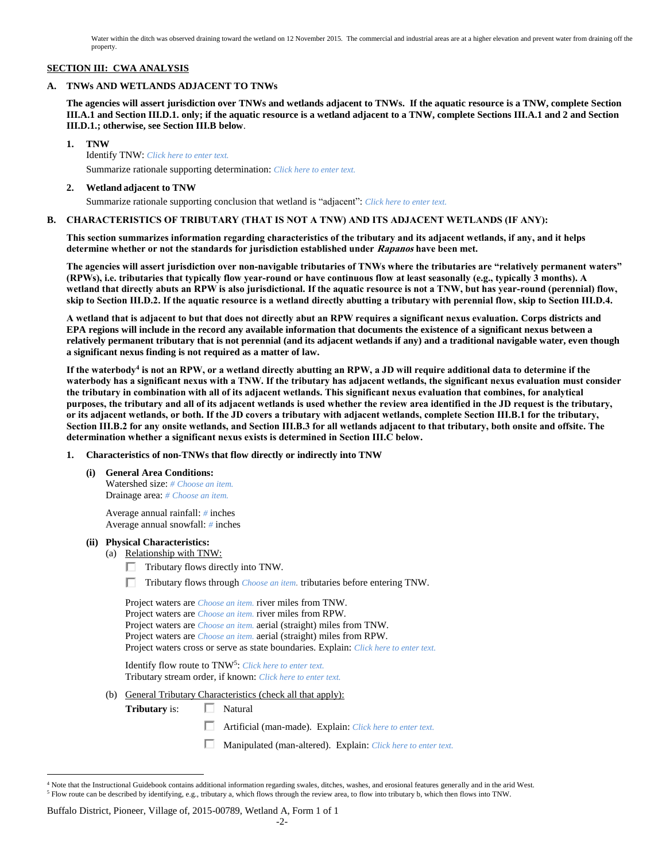Water within the ditch was observed draining toward the wetland on 12 November 2015. The commercial and industrial areas are at a higher elevation and prevent water from draining off the property.

## **SECTION III: CWA ANALYSIS**

### **A. TNWs AND WETLANDS ADJACENT TO TNWs**

**The agencies will assert jurisdiction over TNWs and wetlands adjacent to TNWs. If the aquatic resource is a TNW, complete Section III.A.1 and Section III.D.1. only; if the aquatic resource is a wetland adjacent to a TNW, complete Sections III.A.1 and 2 and Section III.D.1.; otherwise, see Section III.B below**.

**1. TNW** 

Identify TNW: *Click here to enter text.*

Summarize rationale supporting determination: *Click here to enter text.*

### **2. Wetland adjacent to TNW**

Summarize rationale supporting conclusion that wetland is "adjacent": *Click here to enter text.*

## **B. CHARACTERISTICS OF TRIBUTARY (THAT IS NOT A TNW) AND ITS ADJACENT WETLANDS (IF ANY):**

**This section summarizes information regarding characteristics of the tributary and its adjacent wetlands, if any, and it helps determine whether or not the standards for jurisdiction established under Rapanos have been met.** 

**The agencies will assert jurisdiction over non-navigable tributaries of TNWs where the tributaries are "relatively permanent waters" (RPWs), i.e. tributaries that typically flow year-round or have continuous flow at least seasonally (e.g., typically 3 months). A wetland that directly abuts an RPW is also jurisdictional. If the aquatic resource is not a TNW, but has year-round (perennial) flow, skip to Section III.D.2. If the aquatic resource is a wetland directly abutting a tributary with perennial flow, skip to Section III.D.4.**

**A wetland that is adjacent to but that does not directly abut an RPW requires a significant nexus evaluation. Corps districts and EPA regions will include in the record any available information that documents the existence of a significant nexus between a relatively permanent tributary that is not perennial (and its adjacent wetlands if any) and a traditional navigable water, even though a significant nexus finding is not required as a matter of law.**

**If the waterbody<sup>4</sup> is not an RPW, or a wetland directly abutting an RPW, a JD will require additional data to determine if the waterbody has a significant nexus with a TNW. If the tributary has adjacent wetlands, the significant nexus evaluation must consider the tributary in combination with all of its adjacent wetlands. This significant nexus evaluation that combines, for analytical purposes, the tributary and all of its adjacent wetlands is used whether the review area identified in the JD request is the tributary, or its adjacent wetlands, or both. If the JD covers a tributary with adjacent wetlands, complete Section III.B.1 for the tributary, Section III.B.2 for any onsite wetlands, and Section III.B.3 for all wetlands adjacent to that tributary, both onsite and offsite. The determination whether a significant nexus exists is determined in Section III.C below.**

- **1. Characteristics of non-TNWs that flow directly or indirectly into TNW**
	- **(i) General Area Conditions:** Watershed size: *# Choose an item.* Drainage area: *# Choose an item.*

Average annual rainfall: *#* inches Average annual snowfall: *#* inches

### **(ii) Physical Characteristics:**

(a) Relationship with TNW:

Tributary flows directly into TNW.

Tributary flows through *Choose an item.* tributaries before entering TNW.

|     | Project waters are <i>Choose an item</i> , river miles from TNW.                                                                   |
|-----|------------------------------------------------------------------------------------------------------------------------------------|
|     | Project waters are <i>Choose an item</i> , river miles from RPW.                                                                   |
|     | Project waters are <i>Choose an item.</i> aerial (straight) miles from TNW.                                                        |
|     | Project waters are <i>Choose an item.</i> aerial (straight) miles from RPW.                                                        |
|     | Project waters cross or serve as state boundaries. Explain: Click here to enter text.                                              |
|     | Identify flow route to TNW <sup>5</sup> : Click here to enter text.<br>Tributary stream order, if known: Click here to enter text. |
| (b) | General Tributary Characteristics (check all that apply):                                                                          |
|     | <b>Tributary</b> is:<br>Natural                                                                                                    |

- Artificial (man-made). Explain: *Click here to enter text.*
- Manipulated (man-altered). Explain: *Click here to enter text.*

### Buffalo District, Pioneer, Village of, 2015-00789, Wetland A, Form 1 of 1

 $\overline{a}$ <sup>4</sup> Note that the Instructional Guidebook contains additional information regarding swales, ditches, washes, and erosional features generally and in the arid West. <sup>5</sup> Flow route can be described by identifying, e.g., tributary a, which flows through the review area, to flow into tributary b, which then flows into TNW.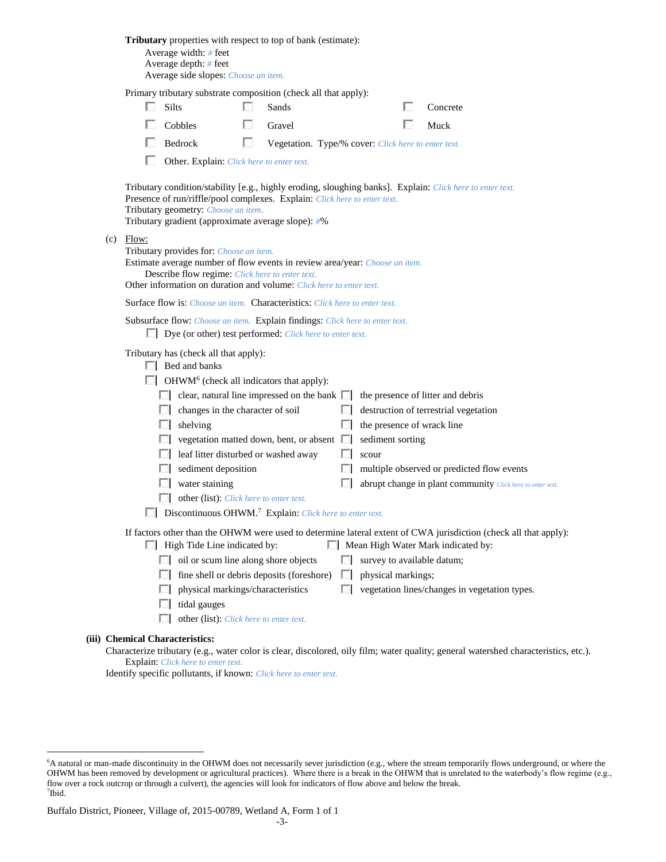|                                                                                                                                                                                                                                                                 | <b>Tributary</b> properties with respect to top of bank (estimate):<br>Average width: # feet<br>Average depth: # feet<br>Average side slopes: Choose an item. |                                                                                                                                                                                                                                                                                     |             |                                                     |                 |                                                  |                                                                                                                                                                                                         |  |  |
|-----------------------------------------------------------------------------------------------------------------------------------------------------------------------------------------------------------------------------------------------------------------|---------------------------------------------------------------------------------------------------------------------------------------------------------------|-------------------------------------------------------------------------------------------------------------------------------------------------------------------------------------------------------------------------------------------------------------------------------------|-------------|-----------------------------------------------------|-----------------|--------------------------------------------------|---------------------------------------------------------------------------------------------------------------------------------------------------------------------------------------------------------|--|--|
|                                                                                                                                                                                                                                                                 |                                                                                                                                                               | Primary tributary substrate composition (check all that apply):                                                                                                                                                                                                                     |             |                                                     |                 |                                                  |                                                                                                                                                                                                         |  |  |
|                                                                                                                                                                                                                                                                 |                                                                                                                                                               | Silts                                                                                                                                                                                                                                                                               | П.<br>Sands |                                                     |                 |                                                  | Concrete                                                                                                                                                                                                |  |  |
|                                                                                                                                                                                                                                                                 |                                                                                                                                                               | Cobbles                                                                                                                                                                                                                                                                             | Gravel      |                                                     |                 |                                                  | Muck                                                                                                                                                                                                    |  |  |
|                                                                                                                                                                                                                                                                 |                                                                                                                                                               | Bedrock                                                                                                                                                                                                                                                                             | U           | Vegetation. Type/% cover: Click here to enter text. |                 |                                                  |                                                                                                                                                                                                         |  |  |
|                                                                                                                                                                                                                                                                 |                                                                                                                                                               | Other. Explain: Click here to enter text.                                                                                                                                                                                                                                           |             |                                                     |                 |                                                  |                                                                                                                                                                                                         |  |  |
|                                                                                                                                                                                                                                                                 |                                                                                                                                                               | Tributary condition/stability [e.g., highly eroding, sloughing banks]. Explain: Click here to enter text.<br>Presence of run/riffle/pool complexes. Explain: Click here to enter text.<br>Tributary geometry: Choose an item.<br>Tributary gradient (approximate average slope): #% |             |                                                     |                 |                                                  |                                                                                                                                                                                                         |  |  |
| $(c)$ Flow:<br>Tributary provides for: Choose an item.<br>Estimate average number of flow events in review area/year: Choose an item.<br>Describe flow regime: Click here to enter text.<br>Other information on duration and volume: Click here to enter text. |                                                                                                                                                               |                                                                                                                                                                                                                                                                                     |             |                                                     |                 |                                                  |                                                                                                                                                                                                         |  |  |
|                                                                                                                                                                                                                                                                 |                                                                                                                                                               | <b>Surface flow is:</b> <i>Choose an item.</i> <b>Characteristics:</b> <i>Click here to enter text.</i>                                                                                                                                                                             |             |                                                     |                 |                                                  |                                                                                                                                                                                                         |  |  |
|                                                                                                                                                                                                                                                                 | Subsurface flow: Choose an item. Explain findings: Click here to enter text.<br>$\Box$ Dye (or other) test performed: <i>Click here to enter text.</i>        |                                                                                                                                                                                                                                                                                     |             |                                                     |                 |                                                  |                                                                                                                                                                                                         |  |  |
|                                                                                                                                                                                                                                                                 |                                                                                                                                                               | Tributary has (check all that apply):<br>$\Box$ Bed and banks                                                                                                                                                                                                                       |             |                                                     |                 |                                                  |                                                                                                                                                                                                         |  |  |
|                                                                                                                                                                                                                                                                 |                                                                                                                                                               | $\Box$ OHWM <sup>6</sup> (check all indicators that apply):                                                                                                                                                                                                                         |             |                                                     |                 |                                                  |                                                                                                                                                                                                         |  |  |
|                                                                                                                                                                                                                                                                 |                                                                                                                                                               | $\Box$ clear, natural line impressed on the bank $\Box$                                                                                                                                                                                                                             |             |                                                     |                 |                                                  | the presence of litter and debris                                                                                                                                                                       |  |  |
|                                                                                                                                                                                                                                                                 |                                                                                                                                                               | $\Box$ changes in the character of soil                                                                                                                                                                                                                                             |             |                                                     | ш               |                                                  | destruction of terrestrial vegetation                                                                                                                                                                   |  |  |
|                                                                                                                                                                                                                                                                 |                                                                                                                                                               | $\Box$ shelving                                                                                                                                                                                                                                                                     |             |                                                     | ш               | the presence of wrack line                       |                                                                                                                                                                                                         |  |  |
|                                                                                                                                                                                                                                                                 |                                                                                                                                                               | $\Box$ vegetation matted down, bent, or absent $\Box$                                                                                                                                                                                                                               |             |                                                     |                 | sediment sorting                                 |                                                                                                                                                                                                         |  |  |
|                                                                                                                                                                                                                                                                 |                                                                                                                                                               | leaf litter disturbed or washed away<br>$\Box$ sediment deposition                                                                                                                                                                                                                  |             |                                                     | scour<br>ш<br>ш |                                                  | multiple observed or predicted flow events                                                                                                                                                              |  |  |
|                                                                                                                                                                                                                                                                 |                                                                                                                                                               | $\Box$ water staining                                                                                                                                                                                                                                                               |             |                                                     |                 |                                                  | abrupt change in plant community Click here to enter text.                                                                                                                                              |  |  |
|                                                                                                                                                                                                                                                                 |                                                                                                                                                               | other (list): Click here to enter text.                                                                                                                                                                                                                                             |             |                                                     |                 |                                                  |                                                                                                                                                                                                         |  |  |
|                                                                                                                                                                                                                                                                 |                                                                                                                                                               | $\Box$ Discontinuous OHWM. <sup>7</sup> Explain: Click here to enter text.                                                                                                                                                                                                          |             |                                                     |                 |                                                  |                                                                                                                                                                                                         |  |  |
|                                                                                                                                                                                                                                                                 | ш                                                                                                                                                             | $\Box$ High Tide Line indicated by:<br>$\Box$ oil or scum line along shore objects<br>$\Box$ fine shell or debris deposits (foreshore)<br>physical markings/characteristics                                                                                                         |             |                                                     | ш<br>ш<br>ш     | survey to available datum;<br>physical markings; | If factors other than the OHWM were used to determine lateral extent of CWA jurisdiction (check all that apply):<br>Mean High Water Mark indicated by:<br>vegetation lines/changes in vegetation types. |  |  |
|                                                                                                                                                                                                                                                                 |                                                                                                                                                               | tidal gauges<br>other (list): Click here to enter text.<br><b>Chemical Characteristics:</b>                                                                                                                                                                                         |             |                                                     |                 |                                                  |                                                                                                                                                                                                         |  |  |
|                                                                                                                                                                                                                                                                 |                                                                                                                                                               |                                                                                                                                                                                                                                                                                     |             |                                                     |                 |                                                  | Characterize tributary (e.g., water color is clear, discolored, oily film; water quality; general watershed characteristics, etc.                                                                       |  |  |

Characterize tributary (e.g., water color is clear, discolored, oily film; water quality; general watershed characteristics, etc.). Explain: *Click here to enter text.*

Identify specific pollutants, if known: *Click here to enter text.*

**(iii)** 

 $\overline{a}$ 

<sup>6</sup>A natural or man-made discontinuity in the OHWM does not necessarily sever jurisdiction (e.g., where the stream temporarily flows underground, or where the OHWM has been removed by development or agricultural practices). Where there is a break in the OHWM that is unrelated to the waterbody's flow regime (e.g., flow over a rock outcrop or through a culvert), the agencies will look for indicators of flow above and below the break. 7 Ibid.

Buffalo District, Pioneer, Village of, 2015-00789, Wetland A, Form 1 of 1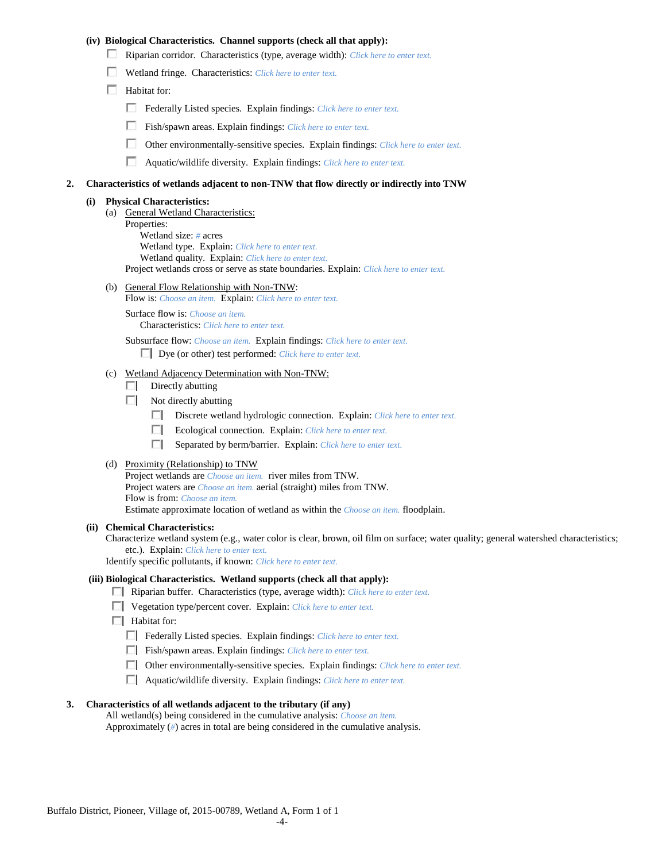## **(iv) Biological Characteristics. Channel supports (check all that apply):**

- Riparian corridor. Characteristics (type, average width): *Click here to enter text.*
- Wetland fringe. Characteristics: *Click here to enter text.*
- $\Box$  Habitat for:
	- Federally Listed species. Explain findings: *Click here to enter text.*
	- Fish/spawn areas. Explain findings: *Click here to enter text.*
	- П. Other environmentally-sensitive species. Explain findings: *Click here to enter text.*
	- П. Aquatic/wildlife diversity. Explain findings: *Click here to enter text.*

#### **2. Characteristics of wetlands adjacent to non-TNW that flow directly or indirectly into TNW**

#### **(i) Physical Characteristics:**

- (a) General Wetland Characteristics:
	- Properties:

Wetland size: *#* acres Wetland type. Explain: *Click here to enter text.*

Wetland quality. Explain: *Click here to enter text.*

Project wetlands cross or serve as state boundaries. Explain: *Click here to enter text.*

(b) General Flow Relationship with Non-TNW: Flow is: *Choose an item.* Explain: *Click here to enter text.*

Surface flow is: *Choose an item.* Characteristics: *Click here to enter text.*

Subsurface flow: *Choose an item.* Explain findings: *Click here to enter text.*

Dye (or other) test performed: *Click here to enter text.*

#### (c) Wetland Adjacency Determination with Non-TNW:

- $\Box$  Directly abutting
- Not directly abutting
	- Discrete wetland hydrologic connection. Explain: *Click here to enter text.*
	- $\Box$ Ecological connection. Explain: *Click here to enter text.*
	- $\Box$ Separated by berm/barrier. Explain: *Click here to enter text.*
- (d) Proximity (Relationship) to TNW

Project wetlands are *Choose an item.* river miles from TNW. Project waters are *Choose an item.* aerial (straight) miles from TNW. Flow is from: *Choose an item.* Estimate approximate location of wetland as within the *Choose an item.* floodplain.

#### **(ii) Chemical Characteristics:**

Characterize wetland system (e.g., water color is clear, brown, oil film on surface; water quality; general watershed characteristics; etc.). Explain: *Click here to enter text.*

Identify specific pollutants, if known: *Click here to enter text.*

## **(iii) Biological Characteristics. Wetland supports (check all that apply):**

- Riparian buffer. Characteristics (type, average width): *Click here to enter text.*
- Vegetation type/percent cover. Explain: *Click here to enter text.*
- $\Box$  Habitat for:
	- Federally Listed species. Explain findings: *Click here to enter text*.
	- Fish/spawn areas. Explain findings: *Click here to enter text*.
	- Other environmentally-sensitive species. Explain findings: *Click here to enter text.*
	- Aquatic/wildlife diversity. Explain findings: *Click here to enter text.*

#### **3. Characteristics of all wetlands adjacent to the tributary (if any)**

All wetland(s) being considered in the cumulative analysis: *Choose an item.* Approximately (*#*) acres in total are being considered in the cumulative analysis.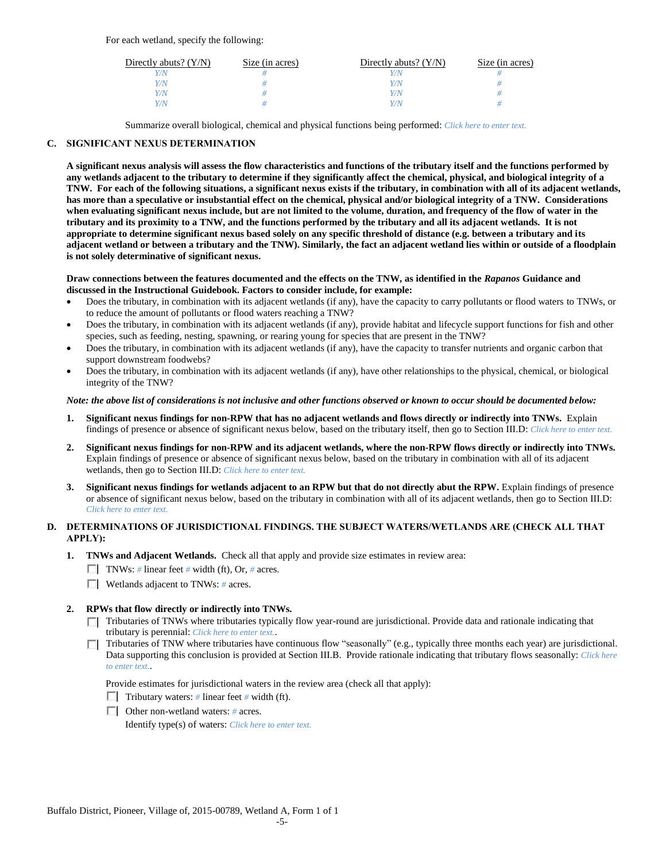For each wetland, specify the following:

| Directly abuts? $(Y/N)$ | Size (in acres) | Directly abuts? $(Y/N)$ | Size (in acres) |
|-------------------------|-----------------|-------------------------|-----------------|
|                         |                 |                         |                 |
| v/N                     |                 | //N                     |                 |
| Y/N                     |                 | 77 N                    |                 |
|                         |                 | $\gamma$ N              |                 |

Summarize overall biological, chemical and physical functions being performed: *Click here to enter text.*

## **C. SIGNIFICANT NEXUS DETERMINATION**

**A significant nexus analysis will assess the flow characteristics and functions of the tributary itself and the functions performed by any wetlands adjacent to the tributary to determine if they significantly affect the chemical, physical, and biological integrity of a TNW. For each of the following situations, a significant nexus exists if the tributary, in combination with all of its adjacent wetlands, has more than a speculative or insubstantial effect on the chemical, physical and/or biological integrity of a TNW. Considerations when evaluating significant nexus include, but are not limited to the volume, duration, and frequency of the flow of water in the tributary and its proximity to a TNW, and the functions performed by the tributary and all its adjacent wetlands. It is not appropriate to determine significant nexus based solely on any specific threshold of distance (e.g. between a tributary and its adjacent wetland or between a tributary and the TNW). Similarly, the fact an adjacent wetland lies within or outside of a floodplain is not solely determinative of significant nexus.** 

### **Draw connections between the features documented and the effects on the TNW, as identified in the** *Rapanos* **Guidance and discussed in the Instructional Guidebook. Factors to consider include, for example:**

- Does the tributary, in combination with its adjacent wetlands (if any), have the capacity to carry pollutants or flood waters to TNWs, or to reduce the amount of pollutants or flood waters reaching a TNW?
- Does the tributary, in combination with its adjacent wetlands (if any), provide habitat and lifecycle support functions for fish and other species, such as feeding, nesting, spawning, or rearing young for species that are present in the TNW?
- Does the tributary, in combination with its adjacent wetlands (if any), have the capacity to transfer nutrients and organic carbon that support downstream foodwebs?
- Does the tributary, in combination with its adjacent wetlands (if any), have other relationships to the physical, chemical, or biological integrity of the TNW?

### *Note: the above list of considerations is not inclusive and other functions observed or known to occur should be documented below:*

- **1. Significant nexus findings for non-RPW that has no adjacent wetlands and flows directly or indirectly into TNWs.** Explain findings of presence or absence of significant nexus below, based on the tributary itself, then go to Section III.D: *Click here to enter text.*
- **2. Significant nexus findings for non-RPW and its adjacent wetlands, where the non-RPW flows directly or indirectly into TNWs.**  Explain findings of presence or absence of significant nexus below, based on the tributary in combination with all of its adjacent wetlands, then go to Section III.D: *Click here to enter text.*
- **3. Significant nexus findings for wetlands adjacent to an RPW but that do not directly abut the RPW.** Explain findings of presence or absence of significant nexus below, based on the tributary in combination with all of its adjacent wetlands, then go to Section III.D: *Click here to enter text.*

# **D. DETERMINATIONS OF JURISDICTIONAL FINDINGS. THE SUBJECT WATERS/WETLANDS ARE (CHECK ALL THAT APPLY):**

- **1. TNWs and Adjacent Wetlands.** Check all that apply and provide size estimates in review area:
	- TNWs: *#* linear feet *#* width (ft), Or, *#* acres.
	- Wetlands adjacent to TNWs: *#* acres.

## **2. RPWs that flow directly or indirectly into TNWs.**

- Tributaries of TNWs where tributaries typically flow year-round are jurisdictional. Provide data and rationale indicating that tributary is perennial: *Click here to enter text.*.
- Tributaries of TNW where tributaries have continuous flow "seasonally" (e.g., typically three months each year) are jurisdictional. п. Data supporting this conclusion is provided at Section III.B. Provide rationale indicating that tributary flows seasonally: *Click here to enter text.*.

Provide estimates for jurisdictional waters in the review area (check all that apply):

- **Tributary waters:** # linear feet # width (ft).
- Other non-wetland waters: *#* acres.

Identify type(s) of waters: *Click here to enter text.*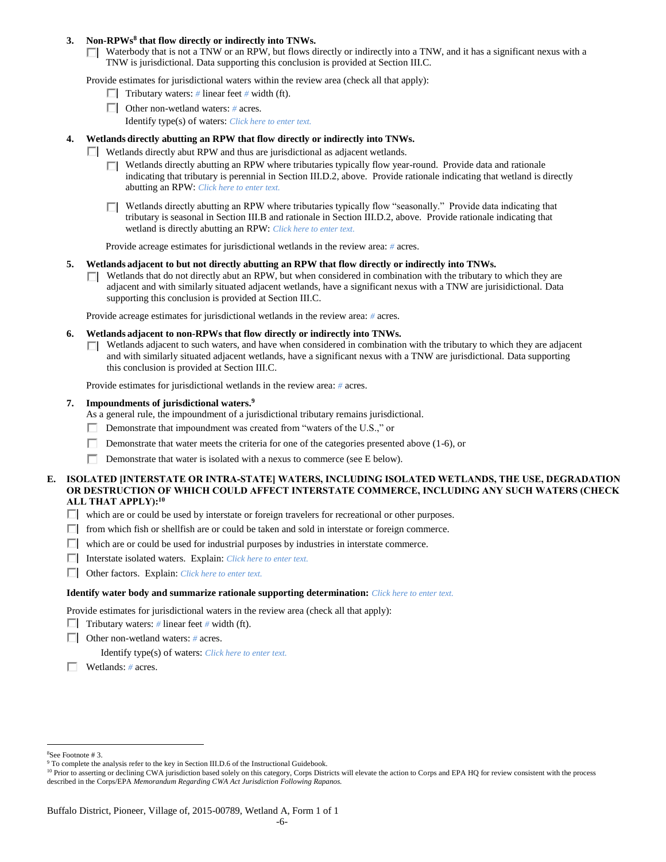### **3. Non-RPWs<sup>8</sup> that flow directly or indirectly into TNWs.**

 $\Box$  Waterbody that is not a TNW or an RPW, but flows directly or indirectly into a TNW, and it has a significant nexus with a TNW is jurisdictional. Data supporting this conclusion is provided at Section III.C.

Provide estimates for jurisdictional waters within the review area (check all that apply):

- **Tributary waters:** # linear feet # width (ft).
- Other non-wetland waters: *#* acres.
	- Identify type(s) of waters: *Click here to enter text.*

### **4. Wetlands directly abutting an RPW that flow directly or indirectly into TNWs.**

- Wetlands directly abut RPW and thus are jurisdictional as adjacent wetlands.
	- $\Box$  Wetlands directly abutting an RPW where tributaries typically flow year-round. Provide data and rationale indicating that tributary is perennial in Section III.D.2, above. Provide rationale indicating that wetland is directly abutting an RPW: *Click here to enter text.*
	- $\Box$  Wetlands directly abutting an RPW where tributaries typically flow "seasonally." Provide data indicating that tributary is seasonal in Section III.B and rationale in Section III.D.2, above. Provide rationale indicating that wetland is directly abutting an RPW: *Click here to enter text.*

Provide acreage estimates for jurisdictional wetlands in the review area: *#* acres.

- **5. Wetlands adjacent to but not directly abutting an RPW that flow directly or indirectly into TNWs.**
	- $\Box$  Wetlands that do not directly abut an RPW, but when considered in combination with the tributary to which they are adjacent and with similarly situated adjacent wetlands, have a significant nexus with a TNW are jurisidictional. Data supporting this conclusion is provided at Section III.C.

Provide acreage estimates for jurisdictional wetlands in the review area: *#* acres.

- **6. Wetlands adjacent to non-RPWs that flow directly or indirectly into TNWs.** 
	- $\Box$  Wetlands adjacent to such waters, and have when considered in combination with the tributary to which they are adjacent and with similarly situated adjacent wetlands, have a significant nexus with a TNW are jurisdictional. Data supporting this conclusion is provided at Section III.C.

Provide estimates for jurisdictional wetlands in the review area: *#* acres.

### **7. Impoundments of jurisdictional waters. 9**

As a general rule, the impoundment of a jurisdictional tributary remains jurisdictional.

- Demonstrate that impoundment was created from "waters of the U.S.," or
- Demonstrate that water meets the criteria for one of the categories presented above (1-6), or
- П. Demonstrate that water is isolated with a nexus to commerce (see E below).
- **E. ISOLATED [INTERSTATE OR INTRA-STATE] WATERS, INCLUDING ISOLATED WETLANDS, THE USE, DEGRADATION OR DESTRUCTION OF WHICH COULD AFFECT INTERSTATE COMMERCE, INCLUDING ANY SUCH WATERS (CHECK ALL THAT APPLY):<sup>10</sup>**
	- which are or could be used by interstate or foreign travelers for recreational or other purposes.
	- $\Box$  from which fish or shellfish are or could be taken and sold in interstate or foreign commerce.
	- $\Box$  which are or could be used for industrial purposes by industries in interstate commerce.
	- Interstate isolated waters.Explain: *Click here to enter text.*
	- Other factors.Explain: *Click here to enter text.*

#### **Identify water body and summarize rationale supporting determination:** *Click here to enter text.*

Provide estimates for jurisdictional waters in the review area (check all that apply):

- Tributary waters:  $\#$  linear feet  $\#$  width (ft).
- Other non-wetland waters: *#* acres.

Identify type(s) of waters: *Click here to enter text.*

Wetlands: *#* acres.

 $\overline{a}$ <sup>8</sup>See Footnote # 3.

<sup>&</sup>lt;sup>9</sup> To complete the analysis refer to the key in Section III.D.6 of the Instructional Guidebook.

<sup>&</sup>lt;sup>10</sup> Prior to asserting or declining CWA jurisdiction based solely on this category, Corps Districts will elevate the action to Corps and EPA HQ for review consistent with the process described in the Corps/EPA *Memorandum Regarding CWA Act Jurisdiction Following Rapanos.*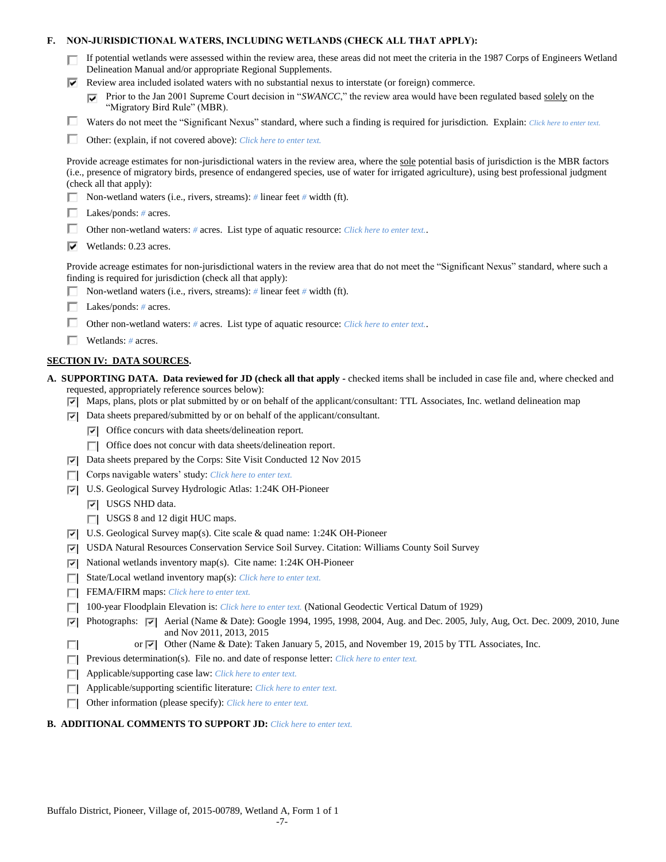## **F. NON-JURISDICTIONAL WATERS, INCLUDING WETLANDS (CHECK ALL THAT APPLY):**

| If potential wetlands were assessed within the review area, these areas did not meet the criteria in the 1987 Corps of Engineers Wetland |
|------------------------------------------------------------------------------------------------------------------------------------------|
| Delineation Manual and/or appropriate Regional Supplements.                                                                              |

 $\triangledown$  Review area included isolated waters with no substantial nexus to interstate (or foreign) commerce.

**Prior to the Jan 2001 Supreme Court decision in "***SWANCC*," the review area would have been regulated based solely on the "Migratory Bird Rule" (MBR).

Waters do not meet the "Significant Nexus" standard, where such a finding is required for jurisdiction. Explain: Click here to enter text.

Other: (explain, if not covered above): *Click here to enter text.*

Provide acreage estimates for non-jurisdictional waters in the review area, where the sole potential basis of jurisdiction is the MBR factors (i.e., presence of migratory birds, presence of endangered species, use of water for irrigated agriculture), using best professional judgment (check all that apply):

- Non-wetland waters (i.e., rivers, streams): *#* linear feet *#* width (ft).
- Lakes/ponds: *#* acres.
- Other non-wetland waters: # acres. List type of aquatic resource: *Click here to enter text.*.
- Wetlands: 0.23 acres.

Provide acreage estimates for non-jurisdictional waters in the review area that do not meet the "Significant Nexus" standard, where such a finding is required for jurisdiction (check all that apply):

- Non-wetland waters (i.e., rivers, streams): *#* linear feet *#* width (ft).
- Lakes/ponds: *#* acres.
- Other non-wetland waters: *#* acres. List type of aquatic resource: *Click here to enter text.*.
- Wetlands: *#* acres.

## **SECTION IV: DATA SOURCES.**

- **A. SUPPORTING DATA. Data reviewed for JD (check all that apply -** checked items shall be included in case file and, where checked and requested, appropriately reference sources below):
	- $\nabla$  Maps, plans, plots or plat submitted by or on behalf of the applicant/consultant: TTL Associates, Inc. wetland delineation map
	- $\nabla$  Data sheets prepared/submitted by or on behalf of the applicant/consultant.
		- $\triangledown$  Office concurs with data sheets/delineation report.
		- $\Box$  Office does not concur with data sheets/delineation report.
	- Data sheets prepared by the Corps: Site Visit Conducted 12 Nov 2015
	- Corps navigable waters' study: *Click here to enter text.*
	- U.S. Geological Survey Hydrologic Atlas: 1:24K OH-Pioneer
		- **V** USGS NHD data.

 $\Box$ 

- USGS 8 and 12 digit HUC maps.
- U.S. Geological Survey map(s). Cite scale & quad name: 1:24K OH-Pioneer
- USDA Natural Resources Conservation Service Soil Survey. Citation: Williams County Soil Survey
- $\nabla$  National wetlands inventory map(s). Cite name: 1:24K OH-Pioneer
- State/Local wetland inventory map(s): *Click here to enter text.*
- FEMA/FIRM maps: *Click here to enter text.*
- 100-year Floodplain Elevation is: *Click here to enter text.* (National Geodectic Vertical Datum of 1929)
- $\nabla$  Photographs:  $\nabla$  Aerial (Name & Date): Google 1994, 1995, 1998, 2004, Aug. and Dec. 2005, July, Aug, Oct. Dec. 2009, 2010, June and Nov 2011, 2013, 2015
	- or Other (Name & Date): Taken January 5, 2015, and November 19, 2015 by TTL Associates, Inc.
- **Previous determination(s). File no. and date of response letter:** *Click here to enter text.*
- Applicable/supporting case law: *Click here to enter text.*
- Applicable/supporting scientific literature: *Click here to enter text.* П.
- Other information (please specify): *Click here to enter text.*

### **B. ADDITIONAL COMMENTS TO SUPPORT JD:** *Click here to enter text.*